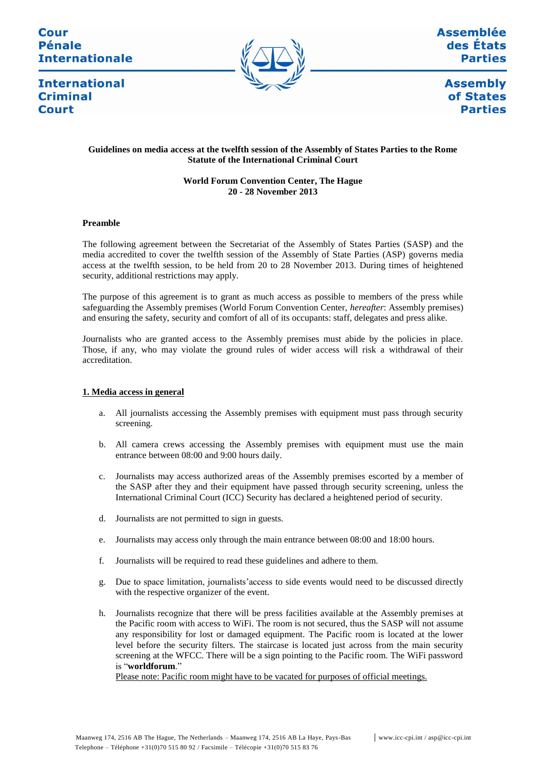# Cour **Pénale Internationale**



**Assemblée** des États **Parties** 

**International Criminal** Court

**Assembly** of States **Parties** 

# **Guidelines on media access at the twelfth session of the Assembly of States Parties to the Rome Statute of the International Criminal Court**

# **World Forum Convention Center, The Hague 20 - 28 November 2013**

## **Preamble**

The following agreement between the Secretariat of the Assembly of States Parties (SASP) and the media accredited to cover the twelfth session of the Assembly of State Parties (ASP) governs media access at the twelfth session, to be held from 20 to 28 November 2013. During times of heightened security, additional restrictions may apply.

The purpose of this agreement is to grant as much access as possible to members of the press while safeguarding the Assembly premises (World Forum Convention Center, *hereafter*: Assembly premises) and ensuring the safety, security and comfort of all of its occupants: staff, delegates and press alike.

Journalists who are granted access to the Assembly premises must abide by the policies in place. Those, if any, who may violate the ground rules of wider access will risk a withdrawal of their accreditation.

# **1. Media access in general**

- a. All journalists accessing the Assembly premises with equipment must pass through security screening.
- b. All camera crews accessing the Assembly premises with equipment must use the main entrance between 08:00 and 9:00 hours daily.
- c. Journalists may access authorized areas of the Assembly premises escorted by a member of the SASP after they and their equipment have passed through security screening, unless the International Criminal Court (ICC) Security has declared a heightened period of security.
- d. Journalists are not permitted to sign in guests.
- e. Journalists may access only through the main entrance between 08:00 and 18:00 hours.
- f. Journalists will be required to read these guidelines and adhere to them.
- g. Due to space limitation, journalists'access to side events would need to be discussed directly with the respective organizer of the event.
- h. Journalists recognize that there will be press facilities available at the Assembly premises at the Pacific room with access to WiFi. The room is not secured, thus the SASP will not assume any responsibility for lost or damaged equipment. The Pacific room is located at the lower level before the security filters. The staircase is located just across from the main security screening at the WFCC. There will be a sign pointing to the Pacific room. The WiFi password is "**worldforum**."

Please note: Pacific room might have to be vacated for purposes of official meetings.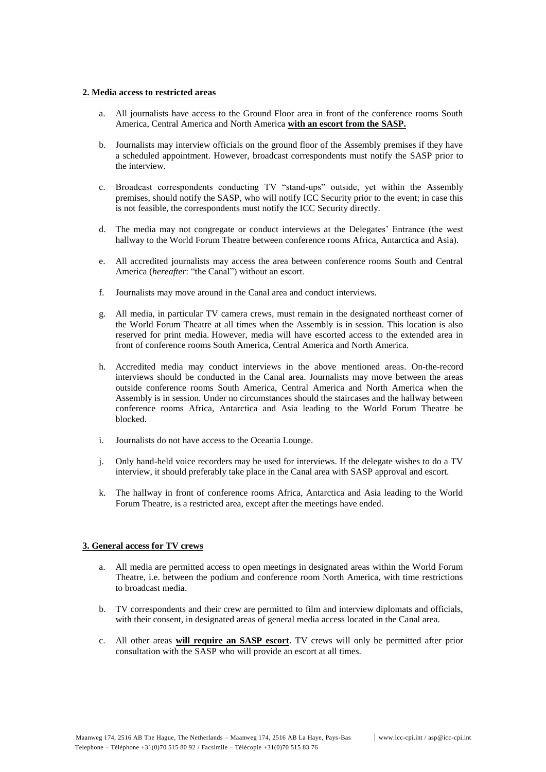## **2. Media access to restricted areas**

- a. All journalists have access to the Ground Floor area in front of the conference rooms South America, Central America and North America **with an escort from the SASP.**
- b. Journalists may interview officials on the ground floor of the Assembly premises if they have a scheduled appointment. However, broadcast correspondents must notify the SASP prior to the interview.
- c. Broadcast correspondents conducting TV "stand-ups" outside, yet within the Assembly premises, should notify the SASP, who will notify ICC Security prior to the event; in case this is not feasible, the correspondents must notify the ICC Security directly.
- d. The media may not congregate or conduct interviews at the Delegates' Entrance (the west hallway to the World Forum Theatre between conference rooms Africa, Antarctica and Asia).
- e. All accredited journalists may access the area between conference rooms South and Central America (*hereafter*: "the Canal") without an escort.
- f. Journalists may move around in the Canal area and conduct interviews.
- g. All media, in particular TV camera crews, must remain in the designated northeast corner of the World Forum Theatre at all times when the Assembly is in session. This location is also reserved for print media. However, media will have escorted access to the extended area in front of conference rooms South America, Central America and North America.
- h. Accredited media may conduct interviews in the above mentioned areas. On-the-record interviews should be conducted in the Canal area. Journalists may move between the areas outside conference rooms South America, Central America and North America when the Assembly is in session. Under no circumstances should the staircases and the hallway between conference rooms Africa, Antarctica and Asia leading to the World Forum Theatre be blocked.
- i. Journalists do not have access to the Oceania Lounge.
- j. Only hand-held voice recorders may be used for interviews. If the delegate wishes to do a TV interview, it should preferably take place in the Canal area with SASP approval and escort.
- k. The hallway in front of conference rooms Africa, Antarctica and Asia leading to the World Forum Theatre, is a restricted area, except after the meetings have ended.

# **3. General access for TV crews**

- a. All media are permitted access to open meetings in designated areas within the World Forum Theatre, i.e. between the podium and conference room North America, with time restrictions to broadcast media.
- b. TV correspondents and their crew are permitted to film and interview diplomats and officials, with their consent, in designated areas of general media access located in the Canal area.
- c. All other areas **will require an SASP escort**. TV crews will only be permitted after prior consultation with the SASP who will provide an escort at all times.